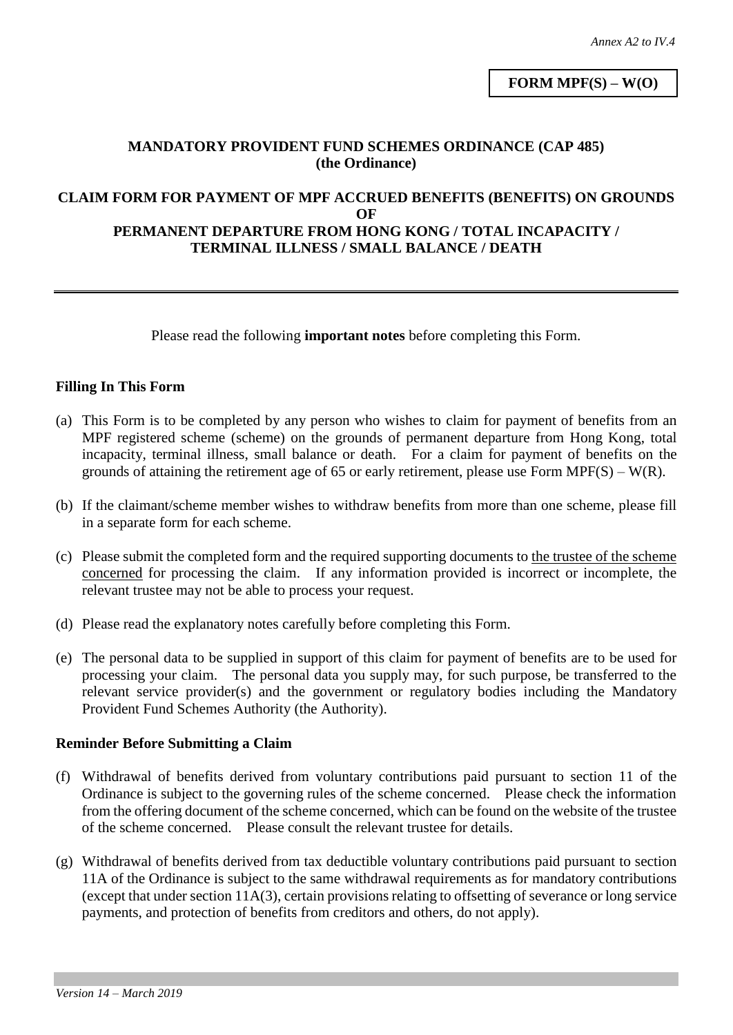**FORM MPF(S) – W(O)**

### **MANDATORY PROVIDENT FUND SCHEMES ORDINANCE (CAP 485) (the Ordinance)**

### **CLAIM FORM FOR PAYMENT OF MPF ACCRUED BENEFITS (BENEFITS) ON GROUNDS OF PERMANENT DEPARTURE FROM HONG KONG / TOTAL INCAPACITY / TERMINAL ILLNESS / SMALL BALANCE / DEATH**

Please read the following **important notes** before completing this Form.

## **Filling In This Form**

- (a) This Form is to be completed by any person who wishes to claim for payment of benefits from an MPF registered scheme (scheme) on the grounds of permanent departure from Hong Kong, total incapacity, terminal illness, small balance or death. For a claim for payment of benefits on the grounds of attaining the retirement age of 65 or early retirement, please use Form MPF(S) –  $W(R)$ .
- (b) If the claimant/scheme member wishes to withdraw benefits from more than one scheme, please fill in a separate form for each scheme.
- (c) Please submit the completed form and the required supporting documents to the trustee of the scheme concerned for processing the claim. If any information provided is incorrect or incomplete, the relevant trustee may not be able to process your request.
- (d) Please read the explanatory notes carefully before completing this Form.
- (e) The personal data to be supplied in support of this claim for payment of benefits are to be used for processing your claim. The personal data you supply may, for such purpose, be transferred to the relevant service provider(s) and the government or regulatory bodies including the Mandatory Provident Fund Schemes Authority (the Authority).

#### **Reminder Before Submitting a Claim**

- (f) Withdrawal of benefits derived from voluntary contributions paid pursuant to section 11 of the Ordinance is subject to the governing rules of the scheme concerned. Please check the information from the offering document of the scheme concerned, which can be found on the website of the trustee of the scheme concerned. Please consult the relevant trustee for details.
- (g) Withdrawal of benefits derived from tax deductible voluntary contributions paid pursuant to section 11A of the Ordinance is subject to the same withdrawal requirements as for mandatory contributions (except that under section 11A(3), certain provisions relating to offsetting of severance or long service payments, and protection of benefits from creditors and others, do not apply).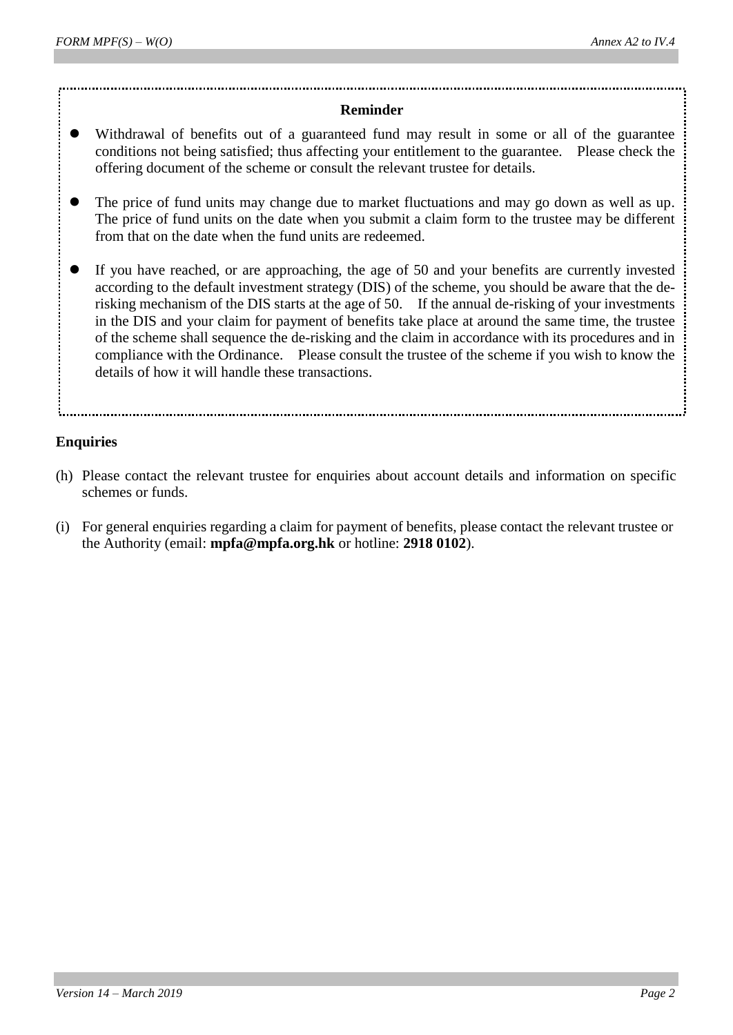#### **Reminder**

- Withdrawal of benefits out of a guaranteed fund may result in some or all of the guarantee conditions not being satisfied; thus affecting your entitlement to the guarantee. Please check the offering document of the scheme or consult the relevant trustee for details.
- The price of fund units may change due to market fluctuations and may go down as well as up. The price of fund units on the date when you submit a claim form to the trustee may be different from that on the date when the fund units are redeemed.
- If you have reached, or are approaching, the age of 50 and your benefits are currently invested according to the default investment strategy (DIS) of the scheme, you should be aware that the derisking mechanism of the DIS starts at the age of 50. If the annual de-risking of your investments in the DIS and your claim for payment of benefits take place at around the same time, the trustee of the scheme shall sequence the de-risking and the claim in accordance with its procedures and in compliance with the Ordinance. Please consult the trustee of the scheme if you wish to know the details of how it will handle these transactions.

## **Enquiries**

- (h) Please contact the relevant trustee for enquiries about account details and information on specific schemes or funds.
- (i) For general enquiries regarding a claim for payment of benefits, please contact the relevant trustee or the Authority (email: **[mpfa@mpfa.org.hk](mailto:mpfa@mpfa.org.hk)** or hotline: **2918 0102**).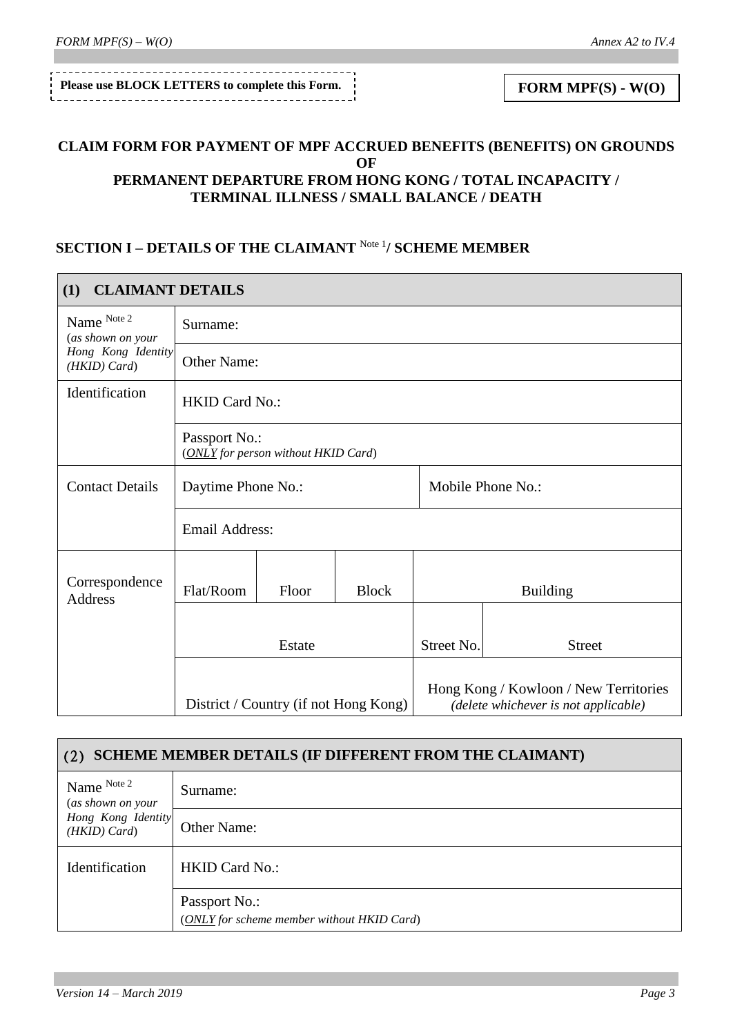### \_\_\_\_\_\_\_\_\_\_\_\_\_\_\_\_\_\_\_\_\_\_\_\_\_\_\_\_\_ **Please use BLOCK LETTERS to complete this Form. <br><b>FORM MPF(S) -**  $W(O)$

#### **CLAIM FORM FOR PAYMENT OF MPF ACCRUED BENEFITS (BENEFITS) ON GROUNDS OF PERMANENT DEPARTURE FROM HONG KONG / TOTAL INCAPACITY / TERMINAL ILLNESS / SMALL BALANCE / DEATH**

## **SECTION I – DETAILS OF THE CLAIMANT** Note 1**/ SCHEME MEMBER**

| <b>CLAIMANT DETAILS</b><br>(1)       |                                                      |       |                   |                                                                               |                 |
|--------------------------------------|------------------------------------------------------|-------|-------------------|-------------------------------------------------------------------------------|-----------------|
| Name Note 2<br>(as shown on your     | Surname:                                             |       |                   |                                                                               |                 |
| Hong Kong Identity<br>$(HKID)$ Card) | Other Name:                                          |       |                   |                                                                               |                 |
| Identification                       | <b>HKID Card No.:</b>                                |       |                   |                                                                               |                 |
|                                      | Passport No.:<br>(ONLY for person without HKID Card) |       |                   |                                                                               |                 |
| <b>Contact Details</b>               | Daytime Phone No.:                                   |       | Mobile Phone No.: |                                                                               |                 |
|                                      | <b>Email Address:</b>                                |       |                   |                                                                               |                 |
| Correspondence<br>Address            | Flat/Room                                            | Floor | <b>Block</b>      |                                                                               | <b>Building</b> |
|                                      |                                                      |       |                   |                                                                               |                 |
|                                      | Estate                                               |       | Street No.        | <b>Street</b>                                                                 |                 |
|                                      | District / Country (if not Hong Kong)                |       |                   | Hong Kong / Kowloon / New Territories<br>(delete whichever is not applicable) |                 |

| <b>SCHEME MEMBER DETAILS (IF DIFFERENT FROM THE CLAIMANT)</b> |                                                             |  |  |  |
|---------------------------------------------------------------|-------------------------------------------------------------|--|--|--|
| Name Note 2<br>(as shown on your                              | Surname:                                                    |  |  |  |
| Hong Kong Identity<br>$(HKID)$ Card)                          | <b>Other Name:</b>                                          |  |  |  |
| Identification                                                | <b>HKID Card No.:</b>                                       |  |  |  |
|                                                               | Passport No.:<br>(ONLY for scheme member without HKID Card) |  |  |  |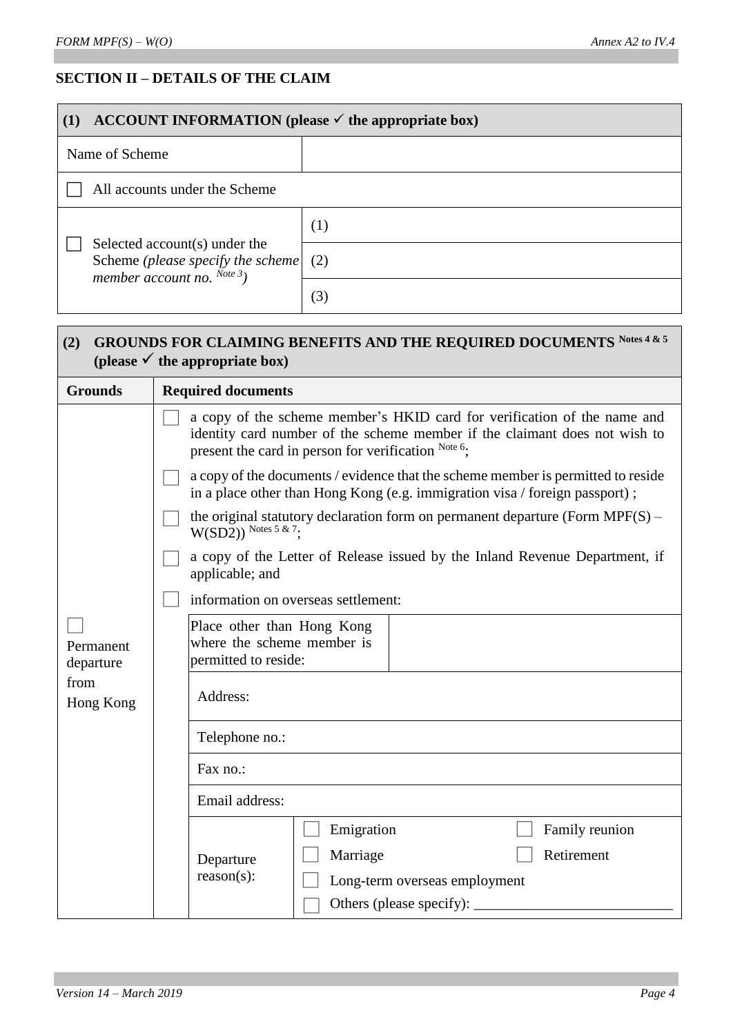Г

Π

# **SECTION II – DETAILS OF THE CLAIM**

| (1)                                                                                                             | ACCOUNT INFORMATION (please $\checkmark$ the appropriate box) |  |  |
|-----------------------------------------------------------------------------------------------------------------|---------------------------------------------------------------|--|--|
| Name of Scheme                                                                                                  |                                                               |  |  |
| All accounts under the Scheme                                                                                   |                                                               |  |  |
|                                                                                                                 | (1)                                                           |  |  |
| Selected account(s) under the<br>Scheme (please specify the scheme)<br>member account no. $Note$ <sup>3</sup> ) | (2)                                                           |  |  |
|                                                                                                                 | (3)                                                           |  |  |

| GROUNDS FOR CLAIMING BENEFITS AND THE REQUIRED DOCUMENTS Notes 4 & 5<br>(2)<br>(please $\checkmark$ the appropriate box) |                                                                                                                                                                                                               |  |  |  |  |
|--------------------------------------------------------------------------------------------------------------------------|---------------------------------------------------------------------------------------------------------------------------------------------------------------------------------------------------------------|--|--|--|--|
| <b>Grounds</b>                                                                                                           | <b>Required documents</b>                                                                                                                                                                                     |  |  |  |  |
|                                                                                                                          | a copy of the scheme member's HKID card for verification of the name and<br>identity card number of the scheme member if the claimant does not wish to<br>present the card in person for verification Note 6; |  |  |  |  |
|                                                                                                                          | a copy of the documents / evidence that the scheme member is permitted to reside<br>in a place other than Hong Kong (e.g. immigration visa / foreign passport);                                               |  |  |  |  |
|                                                                                                                          | the original statutory declaration form on permanent departure (Form $MPF(S)$ –<br>$W(SD2)$ <sup>Notes 5 &amp; 7</sup> ;                                                                                      |  |  |  |  |
|                                                                                                                          | a copy of the Letter of Release issued by the Inland Revenue Department, if<br>applicable; and                                                                                                                |  |  |  |  |
|                                                                                                                          | information on overseas settlement:                                                                                                                                                                           |  |  |  |  |
| Permanent<br>departure                                                                                                   | Place other than Hong Kong<br>where the scheme member is<br>permitted to reside:                                                                                                                              |  |  |  |  |
| from<br>Hong Kong                                                                                                        | Address:                                                                                                                                                                                                      |  |  |  |  |
|                                                                                                                          | Telephone no.:                                                                                                                                                                                                |  |  |  |  |
|                                                                                                                          | Fax no.:                                                                                                                                                                                                      |  |  |  |  |
|                                                                                                                          | Email address:                                                                                                                                                                                                |  |  |  |  |
|                                                                                                                          | Emigration<br>Family reunion<br>Retirement<br>Marriage<br>Departure<br>$reason(s)$ :<br>Long-term overseas employment<br>Others (please specify):                                                             |  |  |  |  |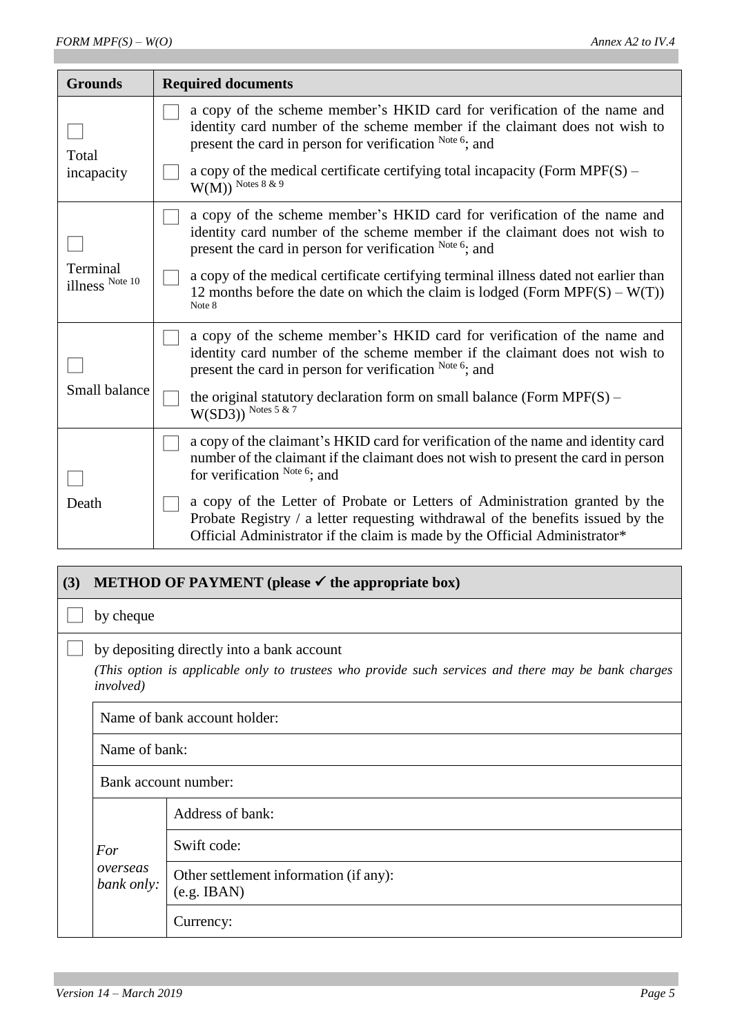| <b>Grounds</b>              | <b>Required documents</b>                                                                                                                                                                                                                                                                                                   |  |  |  |
|-----------------------------|-----------------------------------------------------------------------------------------------------------------------------------------------------------------------------------------------------------------------------------------------------------------------------------------------------------------------------|--|--|--|
| Total<br>incapacity         | a copy of the scheme member's HKID card for verification of the name and<br>identity card number of the scheme member if the claimant does not wish to<br>present the card in person for verification Note 6; and<br>a copy of the medical certificate certifying total incapacity (Form $MPF(S)$ –<br>$W(M)$ ) Notes 8 & 9 |  |  |  |
| Terminal<br>illness Note 10 | a copy of the scheme member's HKID card for verification of the name and<br>identity card number of the scheme member if the claimant does not wish to<br>present the card in person for verification Note 6; and                                                                                                           |  |  |  |
|                             | a copy of the medical certificate certifying terminal illness dated not earlier than<br>12 months before the date on which the claim is lodged (Form MPF(S) – $W(T)$ )<br>Note 8                                                                                                                                            |  |  |  |
| Small balance               | a copy of the scheme member's HKID card for verification of the name and<br>identity card number of the scheme member if the claimant does not wish to<br>present the card in person for verification Note 6; and                                                                                                           |  |  |  |
|                             | the original statutory declaration form on small balance (Form $MPF(S)$ –<br>$W(SD3)$ ) Notes 5 & 7                                                                                                                                                                                                                         |  |  |  |
| Death                       | a copy of the claimant's HKID card for verification of the name and identity card<br>number of the claimant if the claimant does not wish to present the card in person<br>for verification Note 6; and                                                                                                                     |  |  |  |
|                             | a copy of the Letter of Probate or Letters of Administration granted by the<br>Probate Registry / a letter requesting withdrawal of the benefits issued by the<br>Official Administrator if the claim is made by the Official Administrator*                                                                                |  |  |  |

| (3) | <b>METHOD OF PAYMENT</b> (please $\checkmark$ the appropriate box) |                                                                                                                                                   |  |  |  |
|-----|--------------------------------------------------------------------|---------------------------------------------------------------------------------------------------------------------------------------------------|--|--|--|
|     | by cheque                                                          |                                                                                                                                                   |  |  |  |
|     | <i>involved</i> )                                                  | by depositing directly into a bank account<br>(This option is applicable only to trustees who provide such services and there may be bank charges |  |  |  |
|     | Name of bank account holder:                                       |                                                                                                                                                   |  |  |  |
|     | Name of bank:                                                      |                                                                                                                                                   |  |  |  |
|     | Bank account number:                                               |                                                                                                                                                   |  |  |  |
|     |                                                                    | Address of bank:                                                                                                                                  |  |  |  |
|     | For<br>overseas<br>bank only:                                      | Swift code:                                                                                                                                       |  |  |  |
|     |                                                                    | Other settlement information (if any):<br>$(e.g.$ IBAN $)$                                                                                        |  |  |  |
|     |                                                                    | Currency:                                                                                                                                         |  |  |  |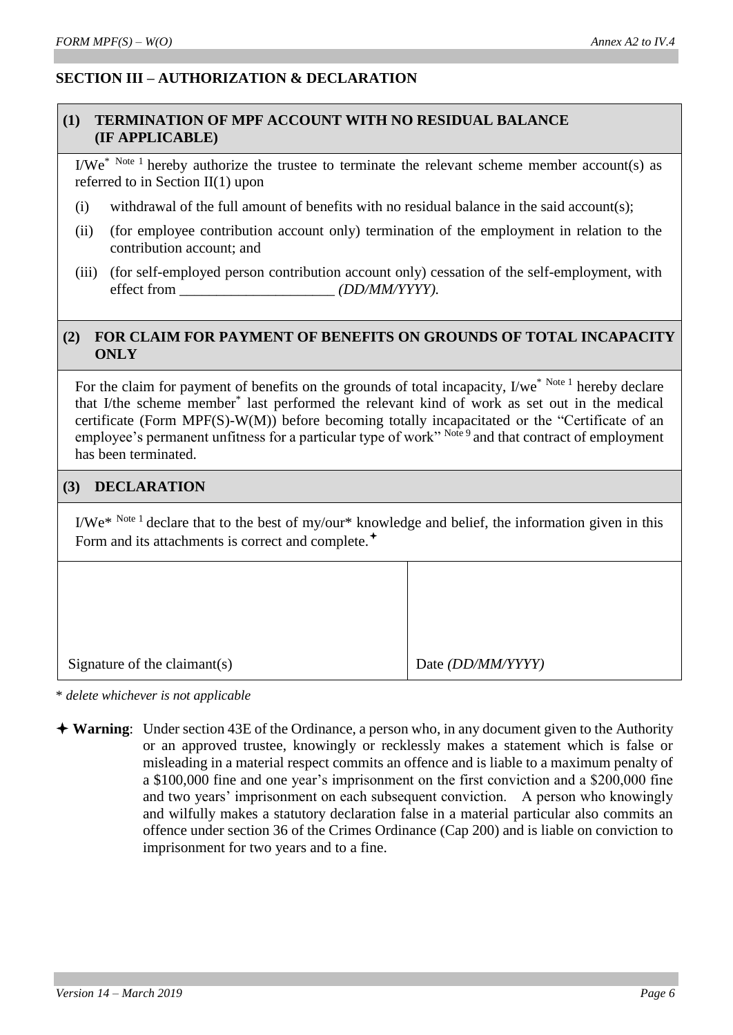# **SECTION III – AUTHORIZATION & DECLARATION**

## **(1) TERMINATION OF MPF ACCOUNT WITH NO RESIDUAL BALANCE (IF APPLICABLE)**

 $I/We^*$  Note 1 hereby authorize the trustee to terminate the relevant scheme member account(s) as referred to in Section II(1) upon

- (i) withdrawal of the full amount of benefits with no residual balance in the said account(s);
- (ii) (for employee contribution account only) termination of the employment in relation to the contribution account; and
- (iii) (for self-employed person contribution account only) cessation of the self-employment, with effect from  $\left(DD/MM/YYYY\right)$ .

## **(2) FOR CLAIM FOR PAYMENT OF BENEFITS ON GROUNDS OF TOTAL INCAPACITY ONLY**

For the claim for payment of benefits on the grounds of total incapacity,  $I/we^{*Note 1}$  hereby declare that I/the scheme member\* last performed the relevant kind of work as set out in the medical certificate (Form MPF(S)-W(M)) before becoming totally incapacitated or the "Certificate of an employee's permanent unfitness for a particular type of work" Note 9 and that contract of employment has been terminated.

## **(3) DECLARATION**

I/We\* Note 1 declare that to the best of my/our\* knowledge and belief, the information given in this Form and its attachments is correct and complete.<sup>+</sup>

| Signature of the claimant(s) | Date (DD/MM/YYYY) |
|------------------------------|-------------------|

\* *delete whichever is not applicable*

 **Warning**: Under section 43E of the Ordinance, a person who, in any document given to the Authority or an approved trustee, knowingly or recklessly makes a statement which is false or misleading in a material respect commits an offence and is liable to a maximum penalty of a \$100,000 fine and one year's imprisonment on the first conviction and a \$200,000 fine and two years' imprisonment on each subsequent conviction. A person who knowingly and wilfully makes a statutory declaration false in a material particular also commits an offence under section 36 of the Crimes Ordinance (Cap 200) and is liable on conviction to imprisonment for two years and to a fine.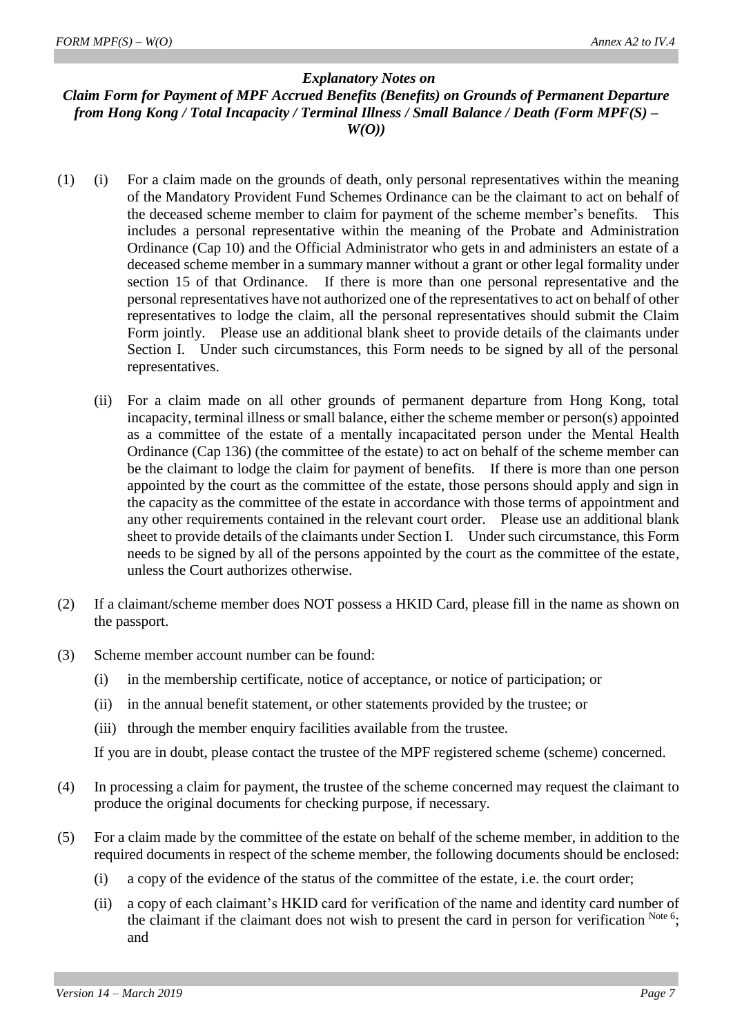### *Explanatory Notes on*

## *Claim Form for Payment of MPF Accrued Benefits (Benefits) on Grounds of Permanent Departure from Hong Kong / Total Incapacity / Terminal Illness / Small Balance / Death (Form MPF(S) – W(O))*

- (1) (i) For a claim made on the grounds of death, only personal representatives within the meaning of the Mandatory Provident Fund Schemes Ordinance can be the claimant to act on behalf of the deceased scheme member to claim for payment of the scheme member's benefits. This includes a personal representative within the meaning of the Probate and Administration Ordinance (Cap 10) and the Official Administrator who gets in and administers an estate of a deceased scheme member in a summary manner without a grant or other legal formality under section 15 of that Ordinance. If there is more than one personal representative and the personal representatives have not authorized one of the representatives to act on behalf of other representatives to lodge the claim, all the personal representatives should submit the Claim Form jointly. Please use an additional blank sheet to provide details of the claimants under Section I. Under such circumstances, this Form needs to be signed by all of the personal representatives.
	- (ii) For a claim made on all other grounds of permanent departure from Hong Kong, total incapacity, terminal illness or small balance, either the scheme member or person(s) appointed as a committee of the estate of a mentally incapacitated person under the Mental Health Ordinance (Cap 136) (the committee of the estate) to act on behalf of the scheme member can be the claimant to lodge the claim for payment of benefits. If there is more than one person appointed by the court as the committee of the estate, those persons should apply and sign in the capacity as the committee of the estate in accordance with those terms of appointment and any other requirements contained in the relevant court order. Please use an additional blank sheet to provide details of the claimants under Section I. Under such circumstance, this Form needs to be signed by all of the persons appointed by the court as the committee of the estate, unless the Court authorizes otherwise.
- (2) If a claimant/scheme member does NOT possess a HKID Card, please fill in the name as shown on the passport.
- (3) Scheme member account number can be found:
	- (i) in the membership certificate, notice of acceptance, or notice of participation; or
	- (ii) in the annual benefit statement, or other statements provided by the trustee; or
	- (iii) through the member enquiry facilities available from the trustee.

If you are in doubt, please contact the trustee of the MPF registered scheme (scheme) concerned.

- (4) In processing a claim for payment, the trustee of the scheme concerned may request the claimant to produce the original documents for checking purpose, if necessary.
- (5) For a claim made by the committee of the estate on behalf of the scheme member, in addition to the required documents in respect of the scheme member, the following documents should be enclosed:
	- (i) a copy of the evidence of the status of the committee of the estate, i.e. the court order;
	- (ii) a copy of each claimant's HKID card for verification of the name and identity card number of the claimant if the claimant does not wish to present the card in person for verification  $^{Note 6}$ ; and